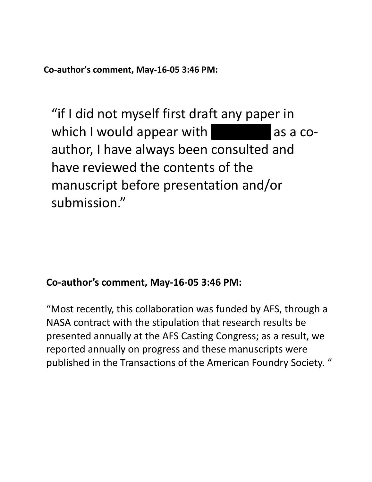**Co-author's comment, May-16-05 3:46 PM:**

"if I did not myself first draft any paper in which I would appear with  $\blacksquare$  as a coauthor, I have always been consulted and have reviewed the contents of the manuscript before presentation and/or submission."

## **Co-author's comment, May-16-05 3:46 PM:**

"Most recently, this collaboration was funded by AFS, through a NASA contract with the stipulation that research results be presented annually at the AFS Casting Congress; as a result, we reported annually on progress and these manuscripts were published in the Transactions of the American Foundry Society. "